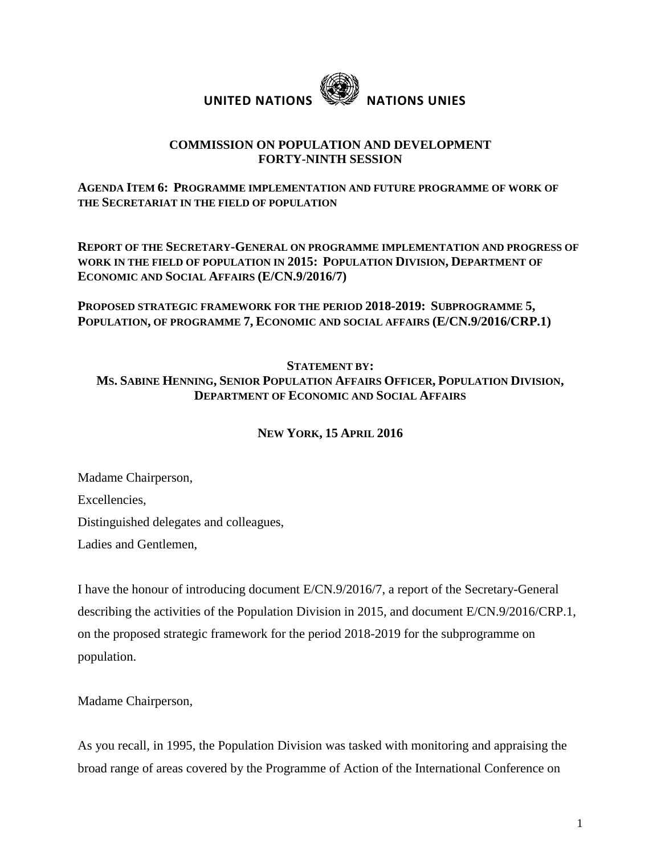

# **UNITED NATIONS NATIONS UNIES**

## **COMMISSION ON POPULATION AND DEVELOPMENT FORTY-NINTH SESSION**

# **AGENDA ITEM 6: PROGRAMME IMPLEMENTATION AND FUTURE PROGRAMME OF WORK OF THE SECRETARIAT IN THE FIELD OF POPULATION**

**REPORT OF THE SECRETARY-GENERAL ON PROGRAMME IMPLEMENTATION AND PROGRESS OF WORK IN THE FIELD OF POPULATION IN 2015: POPULATION DIVISION, DEPARTMENT OF ECONOMIC AND SOCIAL AFFAIRS (E/CN.9/2016/7)**

## **PROPOSED STRATEGIC FRAMEWORK FOR THE PERIOD 2018-2019: SUBPROGRAMME 5, POPULATION, OF PROGRAMME 7, ECONOMIC AND SOCIAL AFFAIRS (E/CN.9/2016/CRP.1)**

### **STATEMENT BY:**

## MS. SABINE HENNING, SENIOR POPULATION AFFAIRS OFFICER, POPULATION DIVISION, **DEPARTMENT OF ECONOMIC AND SOCIAL AFFAIRS**

# **NEW YORK, 15 APRIL 2016**

Madame Chairperson,

Excellencies,

Distinguished delegates and colleagues,

Ladies and Gentlemen,

I have the honour of introducing document E/CN.9/2016/7, a report of the Secretary-General describing the activities of the Population Division in 2015, and document E/CN.9/2016/CRP.1, on the proposed strategic framework for the period 2018-2019 for the subprogramme on population.

Madame Chairperson,

As you recall, in 1995, the Population Division was tasked with monitoring and appraising the broad range of areas covered by the Programme of Action of the International Conference on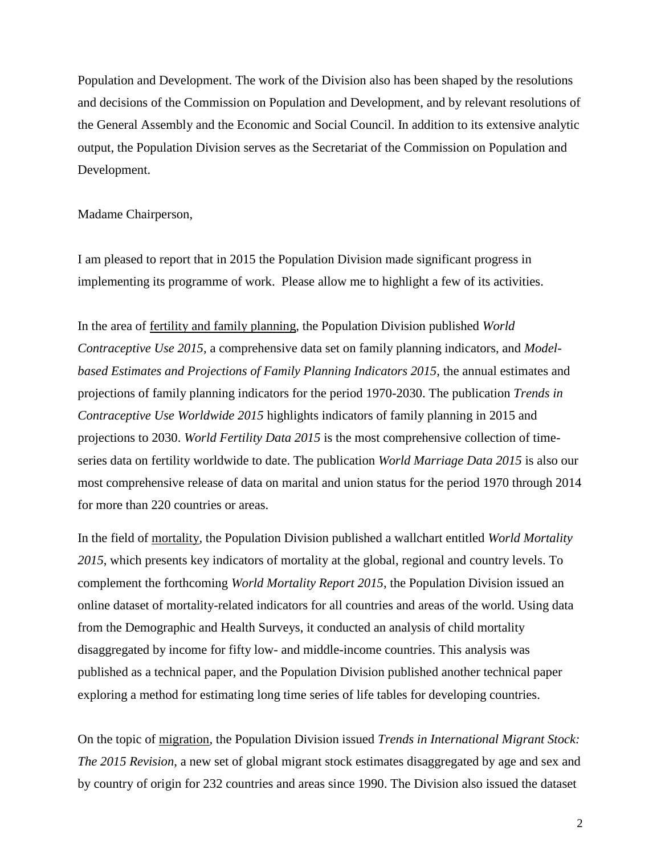Population and Development. The work of the Division also has been shaped by the resolutions and decisions of the Commission on Population and Development, and by relevant resolutions of the General Assembly and the Economic and Social Council. In addition to its extensive analytic output, the Population Division serves as the Secretariat of the Commission on Population and Development.

#### Madame Chairperson,

I am pleased to report that in 2015 the Population Division made significant progress in implementing its programme of work. Please allow me to highlight a few of its activities.

In the area of fertility and family planning, the Population Division published *World Contraceptive Use 2015*, a comprehensive data set on family planning indicators, and *Modelbased Estimates and Projections of Family Planning Indicators 2015*, the annual estimates and projections of family planning indicators for the period 1970-2030. The publication *Trends in Contraceptive Use Worldwide 2015* highlights indicators of family planning in 2015 and projections to 2030. *World Fertility Data 2015* is the most comprehensive collection of timeseries data on fertility worldwide to date. The publication *World Marriage Data 2015* is also our most comprehensive release of data on marital and union status for the period 1970 through 2014 for more than 220 countries or areas.

In the field of mortality, the Population Division published a wallchart entitled *World Mortality 2015*, which presents key indicators of mortality at the global, regional and country levels. To complement the forthcoming *World Mortality Report 2015*, the Population Division issued an online dataset of mortality-related indicators for all countries and areas of the world. Using data from the Demographic and Health Surveys, it conducted an analysis of child mortality disaggregated by income for fifty low- and middle-income countries. This analysis was published as a technical paper, and the Population Division published another technical paper exploring a method for estimating long time series of life tables for developing countries.

On the topic of migration, the Population Division issued *Trends in International Migrant Stock: The 2015 Revision*, a new set of global migrant stock estimates disaggregated by age and sex and by country of origin for 232 countries and areas since 1990. The Division also issued the dataset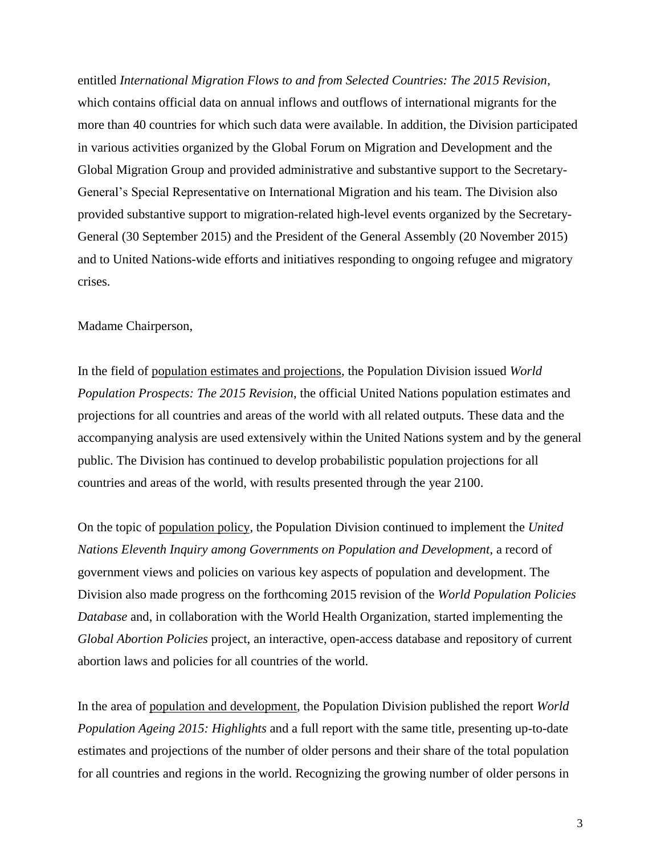entitled *International Migration Flows to and from Selected Countries: The 2015 Revision*, which contains official data on annual inflows and outflows of international migrants for the more than 40 countries for which such data were available. In addition, the Division participated in various activities organized by the Global Forum on Migration and Development and the Global Migration Group and provided administrative and substantive support to the Secretary-General's Special Representative on International Migration and his team. The Division also provided substantive support to migration-related high-level events organized by the Secretary-General (30 September 2015) and the President of the General Assembly (20 November 2015) and to United Nations-wide efforts and initiatives responding to ongoing refugee and migratory crises.

#### Madame Chairperson,

In the field of population estimates and projections, the Population Division issued *World Population Prospects: The 2015 Revision*, the official United Nations population estimates and projections for all countries and areas of the world with all related outputs. These data and the accompanying analysis are used extensively within the United Nations system and by the general public. The Division has continued to develop probabilistic population projections for all countries and areas of the world, with results presented through the year 2100.

On the topic of population policy, the Population Division continued to implement the *United Nations Eleventh Inquiry among Governments on Population and Development*, a record of government views and policies on various key aspects of population and development. The Division also made progress on the forthcoming 2015 revision of the *World Population Policies Database* and, in collaboration with the World Health Organization, started implementing the *Global Abortion Policies* project, an interactive, open-access database and repository of current abortion laws and policies for all countries of the world.

In the area of population and development, the Population Division published the report *World Population Ageing 2015: Highlights* and a full report with the same title, presenting up-to-date estimates and projections of the number of older persons and their share of the total population for all countries and regions in the world. Recognizing the growing number of older persons in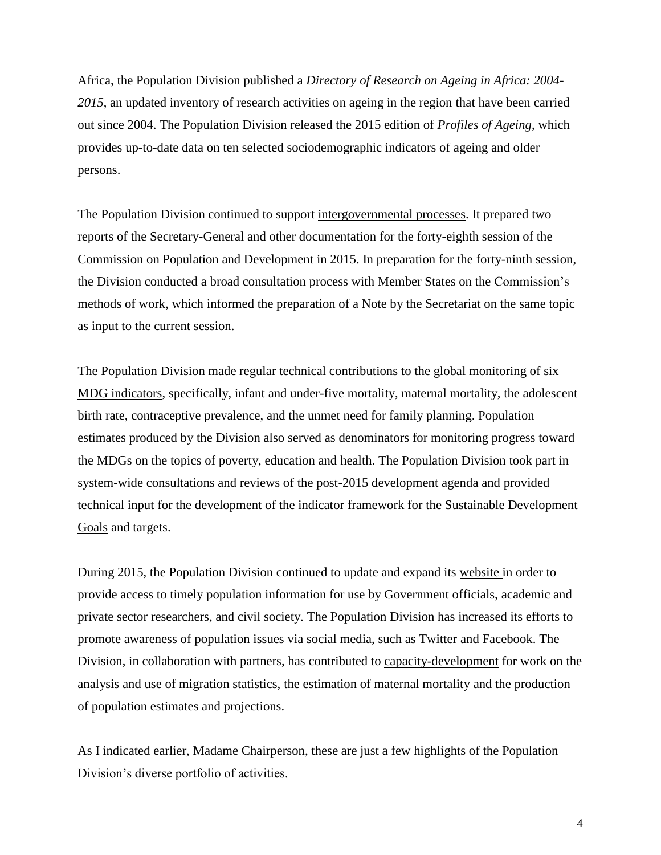Africa, the Population Division published a *Directory of Research on Ageing in Africa: 2004- 2015*, an updated inventory of research activities on ageing in the region that have been carried out since 2004. The Population Division released the 2015 edition of *Profiles of Ageing*, which provides up-to-date data on ten selected sociodemographic indicators of ageing and older persons.

The Population Division continued to support intergovernmental processes. It prepared two reports of the Secretary-General and other documentation for the forty-eighth session of the Commission on Population and Development in 2015. In preparation for the forty-ninth session, the Division conducted a broad consultation process with Member States on the Commission's methods of work, which informed the preparation of a Note by the Secretariat on the same topic as input to the current session.

The Population Division made regular technical contributions to the global monitoring of six MDG indicators, specifically, infant and under-five mortality, maternal mortality, the adolescent birth rate, contraceptive prevalence, and the unmet need for family planning. Population estimates produced by the Division also served as denominators for monitoring progress toward the MDGs on the topics of poverty, education and health. The Population Division took part in system-wide consultations and reviews of the post-2015 development agenda and provided technical input for the development of the indicator framework for the Sustainable Development Goals and targets.

During 2015, the Population Division continued to update and expand its website in order to provide access to timely population information for use by Government officials, academic and private sector researchers, and civil society. The Population Division has increased its efforts to promote awareness of population issues via social media, such as Twitter and Facebook. The Division, in collaboration with partners, has contributed to capacity-development for work on the analysis and use of migration statistics, the estimation of maternal mortality and the production of population estimates and projections.

As I indicated earlier, Madame Chairperson, these are just a few highlights of the Population Division's diverse portfolio of activities.